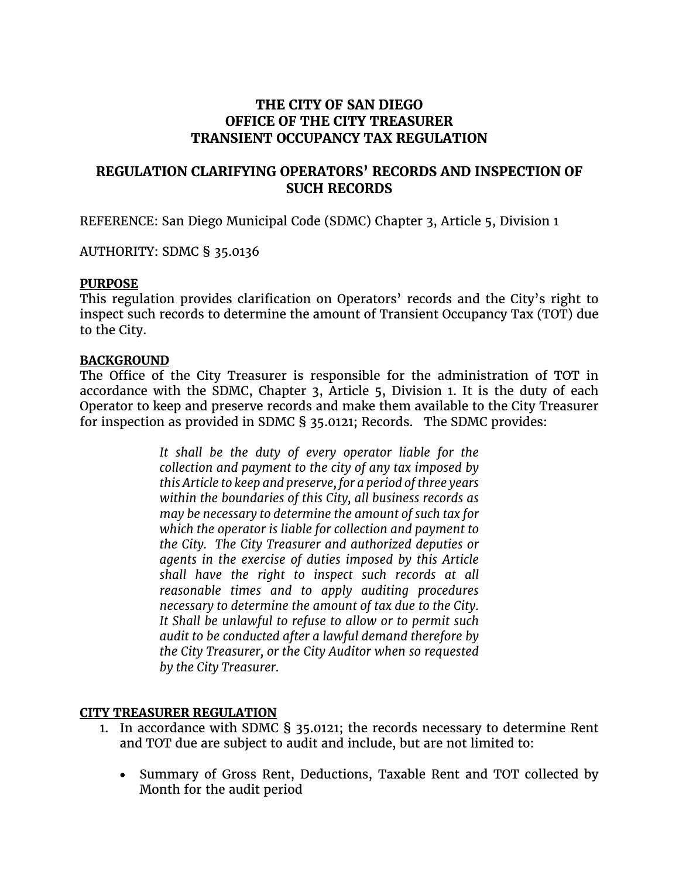# **THE CITY OF SAN DIEGO OFFICE OF THE CITY TREASURER TRANSIENT OCCUPANCY TAX REGULATION**

# **REGULATION CLARIFYING OPERATORS' RECORDS AND INSPECTION OF SUCH RECORDS**

REFERENCE: San Diego Municipal Code (SDMC) Chapter 3, Article 5, Division 1

AUTHORITY: SDMC § 35.0136

#### **PURPOSE**

This regulation provides clarification on Operators' records and the City's right to inspect such records to determine the amount of Transient Occupancy Tax (TOT) due to the City.

#### **BACKGROUND**

The Office of the City Treasurer is responsible for the administration of TOT in accordance with the SDMC, Chapter 3, Article 5, Division 1. It is the duty of each Operator to keep and preserve records and make them available to the City Treasurer for inspection as provided in SDMC § 35.0121; Records. The SDMC provides:

> *It shall be the duty of every operator liable for the collection and payment to the city of any tax imposed by this Article to keep and preserve, for a period of three years within the boundaries of this City, all business records as may be necessary to determine the amount of such tax for which the operator is liable for collection and payment to the City. The City Treasurer and authorized deputies or agents in the exercise of duties imposed by this Article shall have the right to inspect such records at all reasonable times and to apply auditing procedures necessary to determine the amount of tax due to the City. It Shall be unlawful to refuse to allow or to permit such audit to be conducted after a lawful demand therefore by the City Treasurer, or the City Auditor when so requested by the City Treasurer.*

### **CITY TREASURER REGULATION**

- 1. In accordance with SDMC § 35.0121; the records necessary to determine Rent and TOT due are subject to audit and include, but are not limited to:
	- Summary of Gross Rent, Deductions, Taxable Rent and TOT collected by Month for the audit period